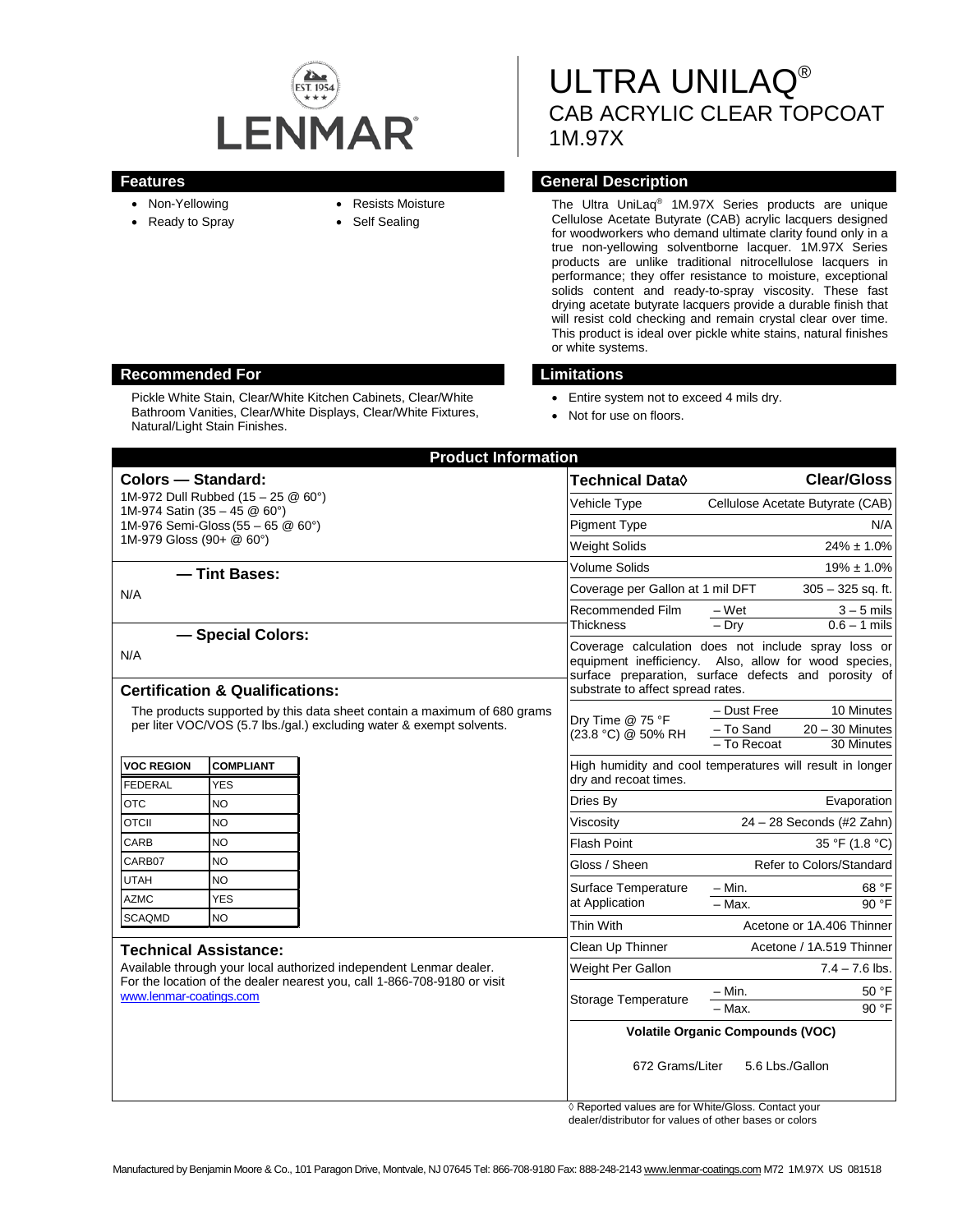

- Non-Yellowing
- Ready to Spray
- Resists Moisture
- Self Sealing

ULTRA UNILAQ® CAB ACRYLIC CLEAR TOPCOAT 1M.97X

#### **Features General Description**

The Ultra UniLaq® 1M.97X Series products are unique Cellulose Acetate Butyrate (CAB) acrylic lacquers designed for woodworkers who demand ultimate clarity found only in a true non-yellowing solventborne lacquer. 1M.97X Series products are unlike traditional nitrocellulose lacquers in performance; they offer resistance to moisture, exceptional solids content and ready-to-spray viscosity. These fast drying acetate butyrate lacquers provide a durable finish that will resist cold checking and remain crystal clear over time. This product is ideal over pickle white stains, natural finishes or white systems.

#### **Recommended For Limitations**

Pickle White Stain, Clear/White Kitchen Cabinets, Clear/White Bathroom Vanities, Clear/White Displays, Clear/White Fixtures, Natural/Light Stain Finishes.

- Entire system not to exceed 4 mils dry.
- Not for use on floors.

| <b>Product Information</b>                                                                                                                                                                                |                                |  |                                                                                                                                                                                                           |                                                               |
|-----------------------------------------------------------------------------------------------------------------------------------------------------------------------------------------------------------|--------------------------------|--|-----------------------------------------------------------------------------------------------------------------------------------------------------------------------------------------------------------|---------------------------------------------------------------|
| <b>Colors - Standard:</b>                                                                                                                                                                                 |                                |  | <b>Technical Data</b> ♦                                                                                                                                                                                   | <b>Clear/Gloss</b>                                            |
| 1M-972 Dull Rubbed (15 - 25 @ 60°)                                                                                                                                                                        |                                |  | Vehicle Type                                                                                                                                                                                              | Cellulose Acetate Butyrate (CAB)                              |
| 1M-974 Satin (35 - 45 @ 60°)<br>1M-976 Semi-Gloss (55 - 65 @ 60°)                                                                                                                                         |                                |  | <b>Pigment Type</b>                                                                                                                                                                                       | N/A                                                           |
| 1M-979 Gloss (90+ @ 60°)                                                                                                                                                                                  |                                |  | Weight Solids                                                                                                                                                                                             | $24\% \pm 1.0\%$                                              |
|                                                                                                                                                                                                           |                                |  | Volume Solids                                                                                                                                                                                             | $19\% \pm 1.0\%$                                              |
| - Tint Bases:                                                                                                                                                                                             |                                |  | Coverage per Gallon at 1 mil DFT                                                                                                                                                                          | $305 - 325$ sq. ft.                                           |
| N/A                                                                                                                                                                                                       |                                |  | Recommended Film                                                                                                                                                                                          | $-Wet$<br>$3 - 5$ mils                                        |
|                                                                                                                                                                                                           |                                |  | <b>Thickness</b>                                                                                                                                                                                          | $-$ Dry<br>$0.6 - 1$ mils                                     |
| - Special Colors:<br>N/A<br><b>Certification &amp; Qualifications:</b>                                                                                                                                    |                                |  | Coverage calculation does not include spray loss or<br>equipment inefficiency. Also, allow for wood species,<br>surface preparation, surface defects and porosity of<br>substrate to affect spread rates. |                                                               |
| The products supported by this data sheet contain a maximum of 680 grams<br>per liter VOC/VOS (5.7 lbs./gal.) excluding water & exempt solvents.                                                          |                                |  | Dry Time @ 75 °F<br>(23.8 °C) @ 50% RH                                                                                                                                                                    | - Dust Free<br>10 Minutes                                     |
|                                                                                                                                                                                                           |                                |  |                                                                                                                                                                                                           | - To Sand<br>$20 - 30$ Minutes<br>$-$ To Recoat<br>30 Minutes |
| <b>VOC REGION</b><br><b>FEDERAL</b>                                                                                                                                                                       | <b>COMPLIANT</b><br><b>YES</b> |  | High humidity and cool temperatures will result in longer<br>dry and recoat times.                                                                                                                        |                                                               |
| <b>OTC</b>                                                                                                                                                                                                | <b>NO</b>                      |  | Dries By                                                                                                                                                                                                  | Evaporation                                                   |
| <b>OTCII</b>                                                                                                                                                                                              | <b>NO</b>                      |  | Viscosity                                                                                                                                                                                                 | 24 - 28 Seconds (#2 Zahn)                                     |
| CARB                                                                                                                                                                                                      | <b>NO</b>                      |  | <b>Flash Point</b>                                                                                                                                                                                        | 35 °F (1.8 °C)                                                |
| CARB07                                                                                                                                                                                                    | <b>NO</b>                      |  | Gloss / Sheen                                                                                                                                                                                             | Refer to Colors/Standard                                      |
| <b>UTAH</b>                                                                                                                                                                                               | <b>NO</b>                      |  | Surface Temperature                                                                                                                                                                                       | $- Min.$<br>68 °F                                             |
| <b>AZMC</b>                                                                                                                                                                                               | <b>YES</b>                     |  | at Application                                                                                                                                                                                            | $90°$ F<br>- Max.                                             |
| <b>SCAQMD</b>                                                                                                                                                                                             | NO.                            |  | Thin With                                                                                                                                                                                                 | Acetone or 1A.406 Thinner                                     |
| <b>Technical Assistance:</b><br>Available through your local authorized independent Lenmar dealer.<br>For the location of the dealer nearest you, call 1-866-708-9180 or visit<br>www.lenmar-coatings.com |                                |  | Clean Up Thinner                                                                                                                                                                                          | Acetone / 1A.519 Thinner                                      |
|                                                                                                                                                                                                           |                                |  | Weight Per Gallon                                                                                                                                                                                         | $7.4 - 7.6$ lbs.                                              |
|                                                                                                                                                                                                           |                                |  | Storage Temperature                                                                                                                                                                                       | – Min.<br>50 °F                                               |
|                                                                                                                                                                                                           |                                |  |                                                                                                                                                                                                           | 90 °F<br>– Max.                                               |
|                                                                                                                                                                                                           |                                |  | <b>Volatile Organic Compounds (VOC)</b>                                                                                                                                                                   |                                                               |
|                                                                                                                                                                                                           |                                |  | 672 Grams/Liter<br>5.6 Lbs./Gallon                                                                                                                                                                        |                                                               |

◊ Reported values are for White/Gloss. Contact your dealer/distributor for values of other bases or colors